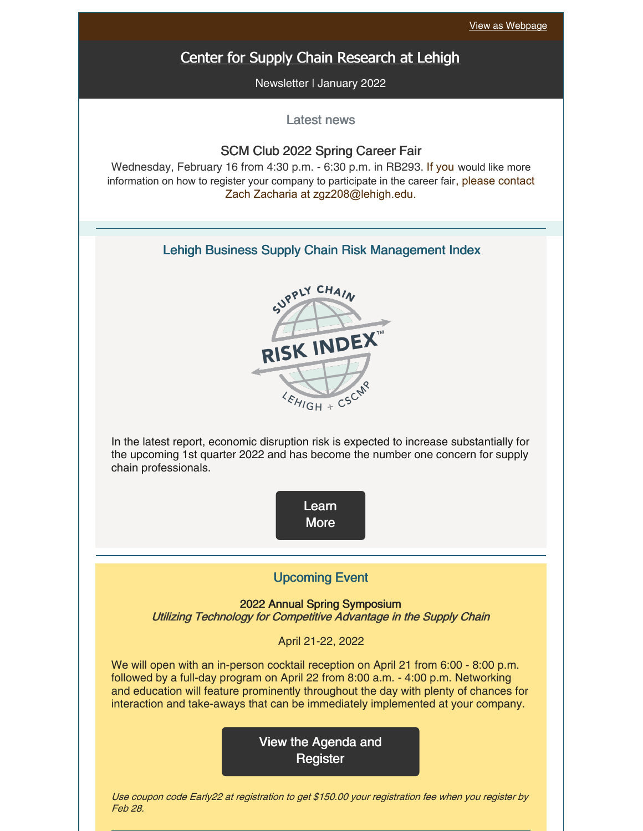# Center for Supply Chain [Research](https://business.lehigh.edu/centers/center-for-supply-chain-research-at-lehigh) at Lehigh

Newsletter | January 2022

Latest news

### SCM Club 2022 Spring Career Fair

Wednesday, February 16 from 4:30 p.m. - 6:30 p.m. in RB293. If you would like more information on how to register your company to participate in the career fair, please contact Zach Zacharia at zgz208@lehigh.edu.

### Lehigh Business Supply Chain Risk Management Index



In the latest report, economic disruption risk is expected to increase substantially for the upcoming 1st quarter 2022 and has become the number one concern for supply chain professionals.



### Upcoming Event

2022 Annual Spring Symposium Utilizing Technology for Competitive Advantage in the Supply Chain

April 21-22, 2022

We will open with an in-person cocktail reception on April 21 from 6:00 - 8:00 p.m. followed by a full-day program on April 22 from 8:00 a.m. - 4:00 p.m. Networking and education will feature prominently throughout the day with plenty of chances for interaction and take-aways that can be immediately implemented at your company.

> View the Agenda and **[Register](https://business.lehigh.edu/centers/center-for-supply-chain-research-at-lehigh/upcoming-and-past-events/2022-cscrl-spring-symposium)**

Use coupon code Early22 at registration to get \$150.00 your registration fee when you register by Feb 28.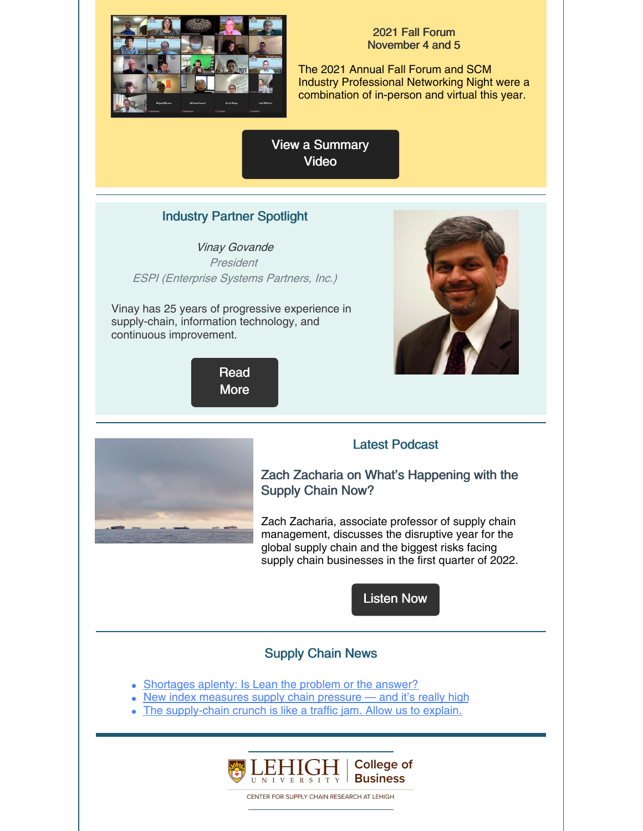

#### 2021 Fall Forum November 4 and 5

The 2021 Annual Fall Forum and SCM Industry Professional Networking Night were a combination of in-person and virtual this year.

View a [Summary](https://youtu.be/3u888cb-1CA) **Video** 

## Industry Partner Spotlight

Vinay Govande President ESPI (Enterprise Systems Partners, Inc.)

Vinay has 25 years of progressive experience in supply-chain, information technology, and continuous improvement.







## Latest Podcast

Zach Zacharia on What's Happening with the Supply Chain Now?

Zach Zacharia, associate professor of supply chain management, discusses the disruptive year for the global supply chain and the biggest risks facing supply chain businesses in the first quarter of 2022.

[Listen](https://business.lehigh.edu/blog/2021/zach-zacharia-whats-happening-supply-chain-now) Now

## Supply Chain News

- [Shortages](https://www.supplychainquarterly.com/articles/5975-shortages-aplenty-is-lean-the-problem-or-the-answer) aplenty: Is Lean the problem or the answer?
- New index [measures](https://www.freightwaves.com/news/new-index-measures-supply-chain-pressure-and-its-really-high) supply chain pressure and it's really high
- The [supply-chain](https://www.wsj.com/articles/the-supply-chain-crunch-is-like-a-traffic-jam-allow-us-to-explain-11640786401) crunch is like a traffic jam. Allow us to explain.



CENTER FOR SUPPLY CHAIN RESEARCH AT LEHIGH